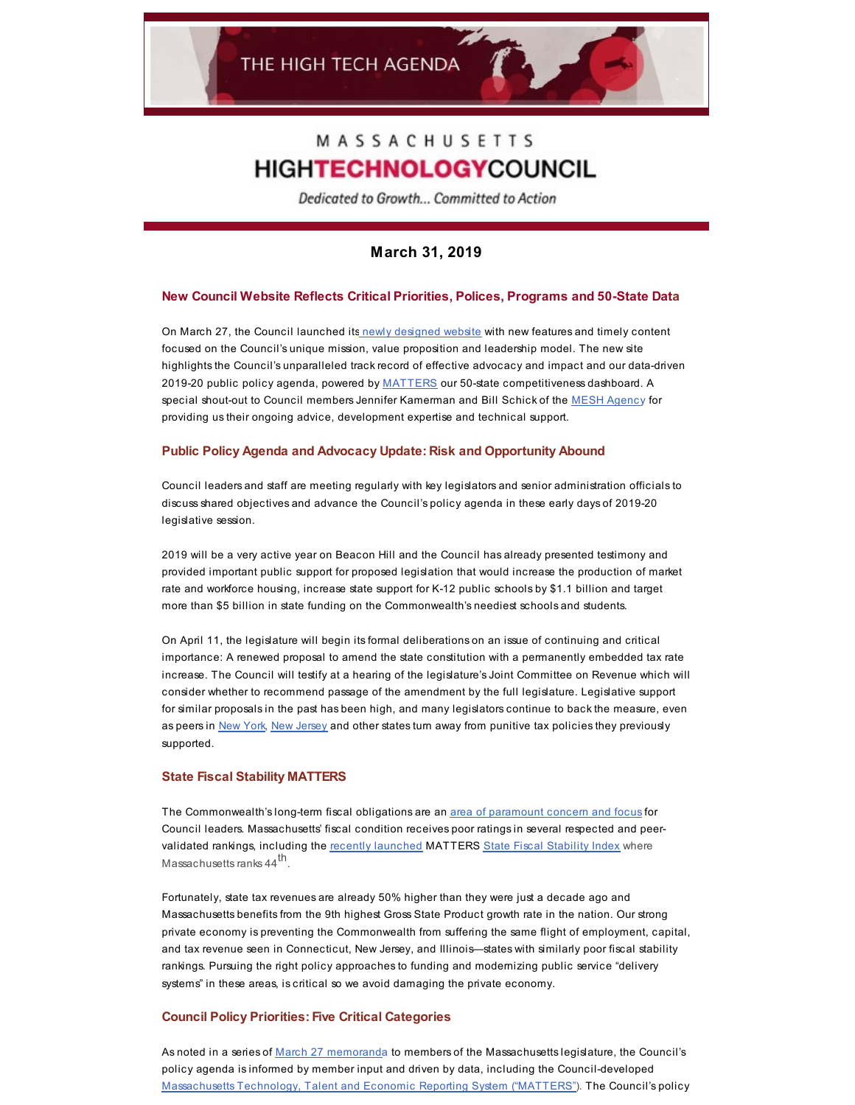# MASSACHUSETTS **HIGHTECHNOLOGYCOUNCIL**

Dedicated to Growth... Committed to Action

## **March 31, 2019**

## **New Council Website Reflects Critical Priorities, Polices, Programs and 50-State Data**

On March 27, the Council launched its newly [designed](http://www.mhtc.org/) website with new features and timely content focused on the Council's unique mission, value proposition and leadership model. The new site highlights the Council's unparalleled track record of effective advocacy and impact and our data-driven 2019-20 public policy agenda, powered by MATTERS our 50-state competitiveness dashboard. A special shout-out to Council members Jennifer Kamerman and Bill Schick of the MESH [Agenc](https://www.meshagency.com/)y for providing us their ongoing advice, development expertise and technical support.

#### **Public Policy Agenda and Advocacy Update: Risk and Opportunity Abound**

Council leaders and staff are meeting regularly with key legislators and senior administration officials to discuss shared objectives and advance the Council's policy agenda in these early days of 2019-20 legislative session.

2019 will be a very active year on Beacon Hill and the Council has already presented testimony and provided important public support for proposed legislation that would increase the production of market rate and workforce housing, increase state support for K-12 public schools by \$1.1 billion and target more than \$5 billion in state funding on the Commonwealth's neediest schools and students.

On April 11, the legislature will begin its formal deliberations on an issue of continuing and critical importance: A renewed proposal to amend the state constitution with a permanently embedded tax rate increase. The Council will testify at a hearing of the legislature's Joint Committee on Revenue which will consider whether to recommend passage of the amendment by the full legislature. Legislative support for similar proposals in the past has been high, and many legislators continue to back the measure, even as peers in [New](https://www.wsj.com/articles/andrew-cuomos-tax-epiphany-11549417351) York, New [Jersey](https://www.njspotlight.com/stories/19/03/07/sweeney-on-murphy-budget-hed-like-more-savings-no-millionaires-tax/) and other states turn away from punitive tax policies they previously supported.

#### **State Fiscal Stability MATTERS**

The Commonwealth's long-term fiscal obligations are an area of [paramount](http://www.mhtc.org/advocacy/mass-fiscal-stability/) concern and focus for Council leaders. Massachusetts' fiscal condition receives poor ratings in several respected and peervalidated rankings, including the recently [launched](http://www.mhtc.org/wp-content/uploads/2019/02/MATTERS-FSI-Forum-Media-Alert-2.22.19-FINAL.pdf) MATTERS State Fiscal [Stability](http://matters.mhtc.org/) Index where Massachusetts ranks 44<sup>th</sup>.

Fortunately, state tax revenues are already 50% higher than they were just a decade ago and Massachusetts benefits from the 9th highest Gross State Product growth rate in the nation. Our strong private economy is preventing the Commonwealth from suffering the same flight of employment, capital, and tax revenue seen in Connecticut, New Jersey, and Illinois—states with similarly poor fiscal stability rankings. Pursuing the right policy approaches to funding and modernizing public service "delivery systems" in these areas, is critical so we avoid damaging the private economy.

### **Council Policy Priorities: Five Critical Categories**

As noted in a series of March 27 [memorand](http://www.mhtc.org/wp-content/uploads/2019/03/2018-19-Policy-Priorities-Letter-to-Legislators-March-28-2019-XX.pdf)a to members of the Massachusetts legislature, the Council's policy agenda is informed by member input and driven by data, including the Council-developed [Massachusetts](http://matters.mhtc.org/) Technology, Talent and Economic Reporting System ("MATTERS"). The Council's policy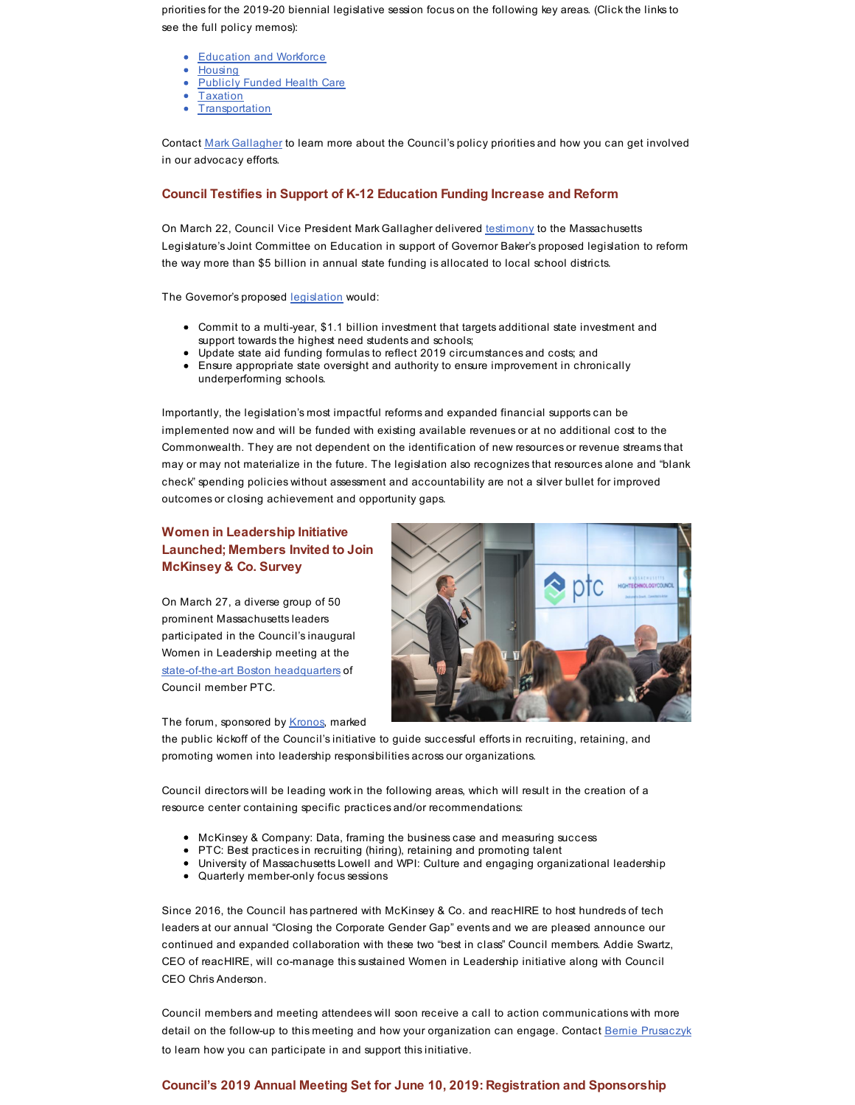priorities for the 2019-20 biennial legislative session focus on the following key areas. (Click the links to see the full policy memos):

- [Education](http://www.mhtc.org/advocacy/public-policy-agenda/education/) and Workforce
- [Housing](http://www.mhtc.org/advocacy/public-policy-agenda/housing/)
- [Publicly](http://www.mhtc.org/advocacy/public-policy-agenda/health-care/) Funded Health Care
- [Taxation](http://www.mhtc.org/advocacy/public-policy-agenda/tax-and-fiscal-policy/)
- **[Transportation](http://www.mhtc.org/advocacy/public-policy-agenda/transportation/)**

Contact Mark [Gallagher](mailto:mark@mhtc.org) to learn more about the Council's policy priorities and how you can get involved in our advocacy efforts.

#### **Council Testifies in Support of K-12 Education Funding Increase and Reform**

On March 22, Council Vice President Mark Gallagher delivered [testimony](http://www.mhtc.org/wp-content/uploads/2019/03/MHTC_Testimony_Foundation-Budget-Reform-HB70-FINAL-3.22.19-x.pdf) to the Massachusetts Legislature's Joint Committee on Education in support of Governor Baker's proposed legislation to reform the way more than \$5 billion in annual state funding is allocated to local school districts.

The Governor's proposed [legislation](https://malegislature.gov/Bills/191/H70) would:

- Commit to a multi-year, \$1.1 billion investment that targets additional state investment and support towards the highest need students and schools;
- Update state aid funding formulas to reflect 2019 circumstances and costs; and
- Ensure appropriate state oversight and authority to ensure improvement in chronically underperforming schools.

Importantly, the legislation's most impactful reforms and expanded financial supports can be implemented now and will be funded with existing available revenues or at no additional cost to the Commonwealth. They are not dependent on the identification of new resources or revenue streams that may or may not materialize in the future. The legislation also recognizes that resources alone and "blank check" spending policies without assessment and accountability are not a silver bullet for improved outcomes or closing achievement and opportunity gaps.

## **Women in Leadership Initiative Launched; Members Invited to Join McKinsey & Co. Survey**

On March 27, a diverse group of 50 prominent Massachusetts leaders participated in the Council's inaugural Women in Leadership meeting at the [state-of-the-art](https://www.bostonglobe.com/business/2019/03/27/workspace/Xa5gFxZbBT3mJQRCFxSQJO/story.html) Boston headquarters of Council member PTC.



The forum, sponsored by [Kronos](https://www.kronos.com/), marked

the public kickoff of the Council's initiative to guide successful efforts in recruiting, retaining, and promoting women into leadership responsibilities across our organizations.

Council directors will be leading work in the following areas, which will result in the creation of a resource center containing specific practices and/or recommendations:

- McKinsey & Company: Data, framing the business case and measuring success
- PTC: Best practices in recruiting (hiring), retaining and promoting talent
- University of Massachusetts Lowell and WPI: Culture and engaging organizational leadership
- Quarterly member-only focus sessions

Since 2016, the Council has partnered with McKinsey & Co. and reacHIRE to host hundreds of tech leaders at our annual "Closing the Corporate Gender Gap" events and we are pleased announce our continued and expanded collaboration with these two "best in class" Council members. Addie Swartz, CEO of reacHIRE, will co-manage this sustained Women in Leadership initiative along with Council CEO Chris Anderson.

Council members and meeting attendees will soon receive a call to action communications with more detail on the follow-up to this meeting and how your organization can engage. Contact Bernie [Prusaczyk](mailto:bernie@mhtc.org) to learn how you can participate in and support this initiative.

#### **Council's 2019 Annual Meeting Set for June 10, 2019: Registration and Sponsorship**